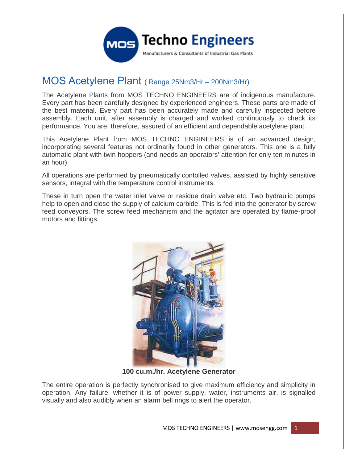

## MOS Acetylene Plant ( Range 25Nm3/Hr – 200Nm3/Hr)

The Acetylene Plants from MOS TECHNO ENGINEERS are of indigenous manufacture. Every part has been carefully designed by experienced engineers. These parts are made of the best material. Every part has been accurately made and carefully inspected before assembly. Each unit, after assembly is charged and worked continuously to check its performance. You are, therefore, assured of an efficient and dependable acetylene plant.

This Acetylene Plant from MOS TECHNO ENGINEERS is of an advanced design, incorporating several features not ordinarily found in other generators. This one is a fully automatic plant with twin hoppers (and needs an operators' attention for only ten minutes in an hour).

All operations are performed by pneumatically contolled valves, assisted by highly sensitive sensors, integral with the temperature control instruments.

These in turn open the water inlet valve or residue drain valve etc. Two hydraulic pumps help to open and close the supply of calcium carbide. This is fed into the generator by screw feed conveyors. The screw feed mechanism and the agitator are operated by flame-proof motors and fittings.



**100 cu.m./hr. Acetylene Generator**

The entire operation is perfectly synchronised to give maximum efficiency and simplicity in operation. Any failure, whether it is of power supply, water, instruments air, is signalled visually and also audibly when an alarm bell rings to alert the operator.